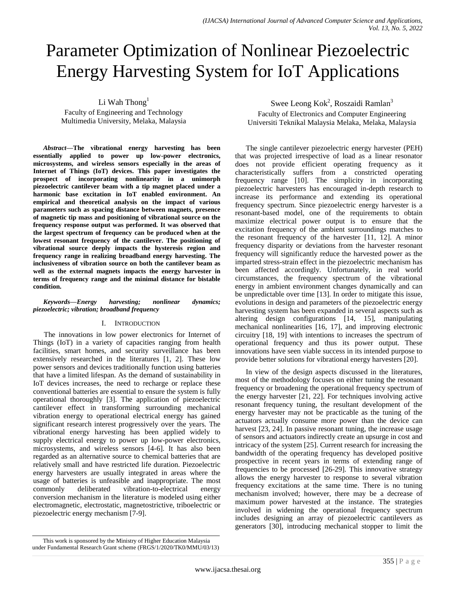# Parameter Optimization of Nonlinear Piezoelectric Energy Harvesting System for IoT Applications

Li Wah Thong<sup>1</sup>

Faculty of Engineering and Technology Multimedia University, Melaka, Malaysia

*Abstract***—The vibrational energy harvesting has been essentially applied to power up low-power electronics, microsystems, and wireless sensors especially in the areas of Internet of Things (IoT) devices. This paper investigates the prospect of incorporating nonlinearity in a unimorph piezoelectric cantilever beam with a tip magnet placed under a harmonic base excitation in IoT enabled environment. An empirical and theoretical analysis on the impact of various parameters such as spacing distance between magnets, presence of magnetic tip mass and positioning of vibrational source on the frequency response output was performed. It was observed that the largest spectrum of frequency can be produced when at the lowest resonant frequency of the cantilever. The positioning of vibrational source deeply impacts the hysteresis region and frequency range in realizing broadband energy harvesting. The inclusiveness of vibration source on both the cantilever beam as well as the external magnets impacts the energy harvester in terms of frequency range and the minimal distance for bistable condition.**

#### *Keywords—Energy harvesting; nonlinear dynamics; piezoelectric; vibration; broadband frequency*

# I. INTRODUCTION

The innovations in low power electronics for Internet of Things (IoT) in a variety of capacities ranging from health facilities, smart homes, and security surveillance has been extensively researched in the literatures [1, 2]. These low power sensors and devices traditionally function using batteries that have a limited lifespan. As the demand of sustainability in IoT devices increases, the need to recharge or replace these conventional batteries are essential to ensure the system is fully operational thoroughly [3]. The application of piezoelectric cantilever effect in transforming surrounding mechanical vibration energy to operational electrical energy has gained significant research interest progressively over the years. The vibrational energy harvesting has been applied widely to supply electrical energy to power up low-power electronics, microsystems, and wireless sensors [4-6]. It has also been regarded as an alternative source to chemical batteries that are relatively small and have restricted life duration. Piezoelectric energy harvesters are usually integrated in areas where the usage of batteries is unfeasible and inappropriate. The most commonly deliberated vibration-to-electrical energy conversion mechanism in the literature is modeled using either electromagnetic, electrostatic, magnetostrictive, triboelectric or piezoelectric energy mechanism [7-9].

The single cantilever piezoelectric energy harvester (PEH) that was projected irrespective of load as a linear resonator does not provide efficient operating frequency as it characteristically suffers from a constricted operating frequency range [10]. The simplicity in incorporating piezoelectric harvesters has encouraged in-depth research to increase its performance and extending its operational frequency spectrum. Since piezoelectric energy harvester is a resonant-based model, one of the requirements to obtain maximize electrical power output is to ensure that the excitation frequency of the ambient surroundings matches to the resonant frequency of the harvester [11, 12]. A minor frequency disparity or deviations from the harvester resonant frequency will significantly reduce the harvested power as the imparted stress-strain effect in the piezoelectric mechanism has been affected accordingly. Unfortunately, in real world circumstances, the frequency spectrum of the vibrational energy in ambient environment changes dynamically and can be unpredictable over time [13]. In order to mitigate this issue, evolutions in design and parameters of the piezoelectric energy harvesting system has been expanded in several aspects such as altering design configurations [14, 15], manipulating mechanical nonlinearities [16, 17], and improving electronic circuitry [18, 19] with intentions to increases the spectrum of operational frequency and thus its power output. These innovations have seen viable success in its intended purpose to provide better solutions for vibrational energy harvesters [20].

In view of the design aspects discussed in the literatures, most of the methodology focuses on either tuning the resonant frequency or broadening the operational frequency spectrum of the energy harvester [21, 22]. For techniques involving active resonant frequency tuning, the resultant development of the energy harvester may not be practicable as the tuning of the actuators actually consume more power than the device can harvest [23, 24]. In passive resonant tuning, the increase usage of sensors and actuators indirectly create an upsurge in cost and intricacy of the system [25]. Current research for increasing the bandwidth of the operating frequency has developed positive prospective in recent years in terms of extending range of frequencies to be processed [26-29]. This innovative strategy allows the energy harvester to response to several vibration frequency excitations at the same time. There is no tuning mechanism involved; however, there may be a decrease of maximum power harvested at the instance. The strategies involved in widening the operational frequency spectrum includes designing an array of piezoelectric cantilevers as generators [30], introducing mechanical stopper to limit the

Swee Leong Kok<sup>2</sup>, Roszaidi Ramlan<sup>3</sup> Faculty of Electronics and Computer Engineering Universiti Teknikal Malaysia Melaka, Melaka, Malaysia

This work is sponsored by the Ministry of Higher Education Malaysia under Fundamental Research Grant scheme (FRGS/1/2020/TK0/MMU/03/13)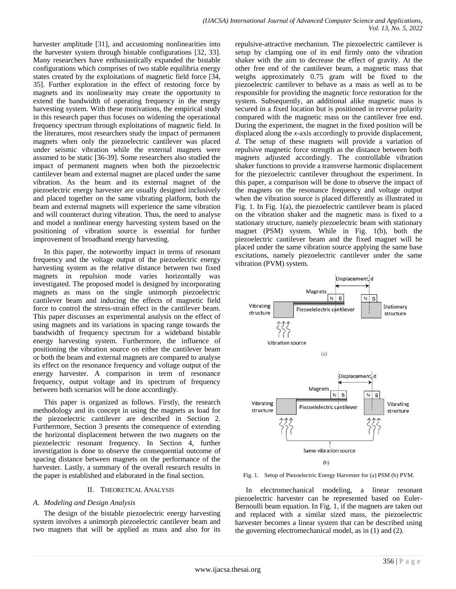harvester amplitude [31], and accustoming nonlinearities into the harvester system through bistable configurations [32, 33]. Many researchers have enthusiastically expanded the bistable configurations which comprises of two stable equilibria energy states created by the exploitations of magnetic field force [34, 35]. Further exploration in the effect of restoring force by magnets and its nonlinearity may create the opportunity to extend the bandwidth of operating frequency in the energy harvesting system. With these motivations, the empirical study in this research paper thus focuses on widening the operational frequency spectrum through exploitations of magnetic field. In the literatures, most researchers study the impact of permanent magnets when only the piezoelectric cantilever was placed under seismic vibration while the external magnets were assumed to be static [36-39]. Some researchers also studied the impact of permanent magnets when both the piezoelectric cantilever beam and external magnet are placed under the same vibration. As the beam and its external magnet of the piezoelectric energy harvester are usually designed inclusively and placed together on the same vibrating platform, both the beam and external magnets will experience the same vibration and will counteract during vibration. Thus, the need to analyse and model a nonlinear energy harvesting system based on the positioning of vibration source is essential for further improvement of broadband energy harvesting.

In this paper, the noteworthy impact in terms of resonant frequency and the voltage output of the piezoelectric energy harvesting system as the relative distance between two fixed magnets in repulsion mode varies horizontally was investigated. The proposed model is designed by incorporating magnets as mass on the single unimorph piezoelectric cantilever beam and inducing the effects of magnetic field force to control the stress-strain effect in the cantilever beam. This paper discusses an experimental analysis on the effect of using magnets and its variations in spacing range towards the bandwidth of frequency spectrum for a wideband bistable energy harvesting system. Furthermore, the influence of positioning the vibration source on either the cantilever beam or both the beam and external magnets are compared to analyse its effect on the resonance frequency and voltage output of the energy harvester. A comparison in term of resonance frequency, output voltage and its spectrum of frequency between both scenarios will be done accordingly.

This paper is organized as follows. Firstly, the research methodology and its concept in using the magnets as load for the piezoelectric cantilever are described in Section 2. Furthermore, Section 3 presents the consequence of extending the horizontal displacement between the two magnets on the piezoelectric resonant frequency. In Section 4, further investigation is done to observe the consequential outcome of spacing distance between magnets on the performance of the harvester. Lastly, a summary of the overall research results in the paper is established and elaborated in the final section.

## II. THEORETICAL ANALYSIS

## *A. Modeling and Design Analysis*

The design of the bistable piezoelectric energy harvesting system involves a unimorph piezoelectric cantilever beam and two magnets that will be applied as mass and also for its repulsive-attractive mechanism. The piezoelectric cantilever is setup by clamping one of its end firmly onto the vibration shaker with the aim to decrease the effect of gravity. At the other free end of the cantilever beam, a magnetic mass that weighs approximately 0.75 gram will be fixed to the piezoelectric cantilever to behave as a mass as well as to be responsible for providing the magnetic force restoration for the system. Subsequently, an additional alike magnetic mass is secured in a fixed location but is positioned in reverse polarity compared with the magnetic mass on the cantilever free end. During the experiment, the magnet in the fixed position will be displaced along the *x*-axis accordingly to provide displacement, *d*. The setup of these magnets will provide a variation of repulsive magnetic force strength as the distance between both magnets adjusted accordingly. The controllable vibration shaker functions to provide a transverse harmonic displacement for the piezoelectric cantilever throughout the experiment. In this paper, a comparison will be done to observe the impact of the magnets on the resonance frequency and voltage output when the vibration source is placed differently as illustrated in Fig. 1. In Fig. 1(a), the piezoelectric cantilever beam is placed on the vibration shaker and the magnetic mass is fixed to a stationary structure, namely piezoelectric beam with stationary magnet (PSM) system. While in Fig. 1(b), both the piezoelectric cantilever beam and the fixed magnet will be placed under the same vibration source applying the same base excitations, namely piezoelectric cantilever under the same vibration (PVM) system.



Fig. 1. Setup of Piezoelectric Energy Harvester for (a) PSM (b) PVM.

In electromechanical modeling, a linear resonant piezoelectric harvester can be represented based on Euler-Bernoulli beam equation. In Fig. 1, if the magnets are taken out and replaced with a similar sized mass, the piezoelectric harvester becomes a linear system that can be described using the governing electromechanical model, as in (1) and (2).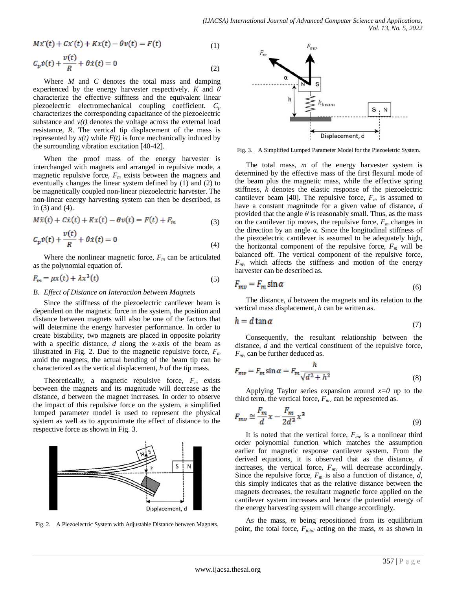$$
M\dot{x}'(t) + C\dot{x}'(t) + Kx(t) - \theta v(t) = F(t)
$$
\n<sup>(1)</sup>

$$
C_p \dot{v}(t) + \frac{v(t)}{R} + \theta \dot{x}(t) = 0
$$
\n(2)

Where *M* and *C* denotes the total mass and damping experienced by the energy harvester respectively. *K* and *θ* characterize the effective stiffness and the equivalent linear piezoelectric electromechanical coupling coefficient. *C<sup>p</sup>* characterizes the corresponding capacitance of the piezoelectric substance and  $v(t)$  denotes the voltage across the external load resistance, *R*. The vertical tip displacement of the mass is represented by  $x(t)$  while  $F(t)$  is force mechanically induced by the surrounding vibration excitation [40-42].

When the proof mass of the energy harvester is interchanged with magnets and arranged in repulsive mode, a magnetic repulsive force,  $F_m$  exists between the magnets and eventually changes the linear system defined by (1) and (2) to be magnetically coupled non-linear piezoelectric harvester. The non-linear energy harvesting system can then be described, as in (3) and (4).

$$
M\ddot{x}(t) + C\dot{x}(t) + Kx(t) - \theta v(t) = F(t) + F_m
$$
\n(3)

$$
C_p \dot{v}(t) + \frac{v(t)}{R} + \theta \dot{x}(t) = 0
$$
\n(4)

Where the nonlinear magnetic force,  $F_m$  can be articulated as the polynomial equation of.

$$
F_m = \mu x(t) + \lambda x^3(t) \tag{5}
$$

#### *B. Effect of Distance on Interaction between Magnets*

Since the stiffness of the piezoelectric cantilever beam is dependent on the magnetic force in the system, the position and distance between magnets will also be one of the factors that will determine the energy harvester performance. In order to create bistability, two magnets are placed in opposite polarity with a specific distance, *d* along the *x-*axis of the beam as illustrated in Fig. 2. Due to the magnetic repulsive force,  $F_m$ amid the magnets, the actual bending of the beam tip can be characterized as the vertical displacement, *h* of the tip mass.

Theoretically, a magnetic repulsive force,  $F_m$  exists between the magnets and its magnitude will decrease as the distance, *d* between the magnet increases. In order to observe the impact of this repulsive force on the system, a simplified lumped parameter model is used to represent the physical system as well as to approximate the effect of distance to the respective force as shown in Fig. 3.



Fig. 2. A Piezoelectric System with Adjustable Distance between Magnets.



Fig. 3. A Simplified Lumped Parameter Model for the Piezoeletric System.

The total mass, *m* of the energy harvester system is determined by the effective mass of the first flexural mode of the beam plus the magnetic mass, while the effective spring stiffness, *k* denotes the elastic response of the piezoelectric cantilever beam [40]. The repulsive force,  $F_m$  is assumed to have a constant magnitude for a given value of distance, *d* provided that the angle  $\theta$  is reasonably small. Thus, as the mass on the cantilever tip moves, the repulsive force,  $F_m$  changes in the direction by an angle  $α$ . Since the longitudinal stiffness of the piezoelectric cantilever is assumed to be adequately high, the horizontal component of the repulsive force,  $F_m$  will be balanced off. The vertical component of the repulsive force,  $F_{mv}$  which affects the stiffness and motion of the energy harvester can be described as.

$$
F_{mv} = F_m \sin \alpha \tag{6}
$$

The distance, *d* between the magnets and its relation to the vertical mass displacement, *h* can be written as.

$$
h = d \tan \alpha \tag{7}
$$

Consequently, the resultant relationship between the distance, *d* and the vertical constituent of the repulsive force, *Fmv* can be further deduced as.

$$
F_{mv} = F_m \sin \alpha = F_m \frac{h}{\sqrt{d^2 + h^2}}
$$
\n(8)

Applying Taylor series expansion around *x=0* up to the third term, the vertical force,  $F_{mv}$  can be represented as.

$$
F_{mv} \cong \frac{F_m}{d} x - \frac{F_m}{2d^3} x^3 \tag{9}
$$

It is noted that the vertical force,  $F_{mv}$  is a nonlinear third order polynomial function which matches the assumption earlier for magnetic response cantilever system. From the derived equations, it is observed that as the distance, *d* increases, the vertical force, *Fmv* will decrease accordingly. Since the repulsive force,  $F_m$  is also a function of distance,  $d$ , this simply indicates that as the relative distance between the magnets decreases, the resultant magnetic force applied on the cantilever system increases and hence the potential energy of the energy harvesting system will change accordingly.

As the mass, *m* being repositioned from its equilibrium point, the total force, *Ftotal* acting on the mass, *m* as shown in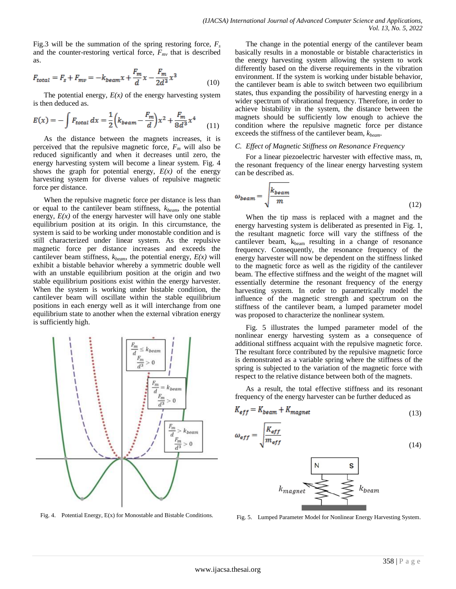Fig.3 will be the summation of the spring restoring force,  $F_s$ and the counter-restoring vertical force,  $F_{mv}$  that is described as.

$$
F_{total} = F_s + F_{mv} = -k_{beam}x + \frac{F_m}{d}x - \frac{F_m}{2d^3}x^3
$$
 (10)

The potential energy,  $E(x)$  of the energy harvesting system is then deduced as.

$$
E(x) = -\int F_{total} dx = \frac{1}{2} \left( k_{beam} - \frac{F_m}{d} \right) x^2 + \frac{F_m}{8d^3} x^4 \tag{11}
$$

As the distance between the magnets increases, it is perceived that the repulsive magnetic force,  $F_m$  will also be reduced significantly and when it decreases until zero, the energy harvesting system will become a linear system. Fig. 4 shows the graph for potential energy,  $E(x)$  of the energy harvesting system for diverse values of repulsive magnetic force per distance.

When the repulsive magnetic force per distance is less than or equal to the cantilever beam stiffness, *kbeam*, the potential energy,  $E(x)$  of the energy harvester will have only one stable equilibrium position at its origin. In this circumstance, the system is said to be working under monostable condition and is still characterized under linear system. As the repulsive magnetic force per distance increases and exceeds the cantilever beam stiffness,  $k_{beam}$ , the potential energy,  $E(x)$  will exhibit a bistable behavior whereby a symmetric double well with an unstable equilibrium position at the origin and two stable equilibrium positions exist within the energy harvester. When the system is working under bistable condition, the cantilever beam will oscillate within the stable equilibrium positions in each energy well as it will interchange from one equilibrium state to another when the external vibration energy is sufficiently high.



Fig. 4. Potential Energy, E(x) for Monostable and Bistable Conditions.

The change in the potential energy of the cantilever beam basically results in a monostable or bistable characteristics in the energy harvesting system allowing the system to work differently based on the diverse requirements in the vibration environment. If the system is working under bistable behavior, the cantilever beam is able to switch between two equilibrium states, thus expanding the possibility of harvesting energy in a wider spectrum of vibrational frequency. Therefore, in order to achieve bistability in the system, the distance between the magnets should be sufficiently low enough to achieve the condition where the repulsive magnetic force per distance exceeds the stiffness of the cantilever beam, *kbeam*.

#### *C. Effect of Magnetic Stiffness on Resonance Frequency*

For a linear piezoelectric harvester with effective mass, m, the resonant frequency of the linear energy harvesting system can be described as.

$$
\omega_{beam} = \sqrt{\frac{k_{beam}}{m}}
$$
 (12)

When the tip mass is replaced with a magnet and the energy harvesting system is deliberated as presented in Fig. 1, the resultant magnetic force will vary the stiffness of the cantilever beam,  $k_{\text{beam}}$  resulting in a change of resonance frequency. Consequently, the resonance frequency of the energy harvester will now be dependent on the stiffness linked to the magnetic force as well as the rigidity of the cantilever beam. The effective stiffness and the weight of the magnet will essentially determine the resonant frequency of the energy harvesting system. In order to parametrically model the influence of the magnetic strength and spectrum on the stiffness of the cantilever beam, a lumped parameter model was proposed to characterize the nonlinear system.

Fig. 5 illustrates the lumped parameter model of the nonlinear energy harvesting system as a consequence of additional stiffness acquaint with the repulsive magnetic force. The resultant force contributed by the repulsive magnetic force is demonstrated as a variable spring where the stiffness of the spring is subjected to the variation of the magnetic force with respect to the relative distance between both of the magnets.

As a result, the total effective stiffness and its resonant frequency of the energy harvester can be further deduced as

$$
K_{eff} = K_{beam} + K_{magnet} \tag{13}
$$

$$
\rho_{eff} = \sqrt{\frac{K_{eff}}{m_{eff}}} \tag{14}
$$



Fig. 5. Lumped Parameter Model for Nonlinear Energy Harvesting System.

 $\alpha$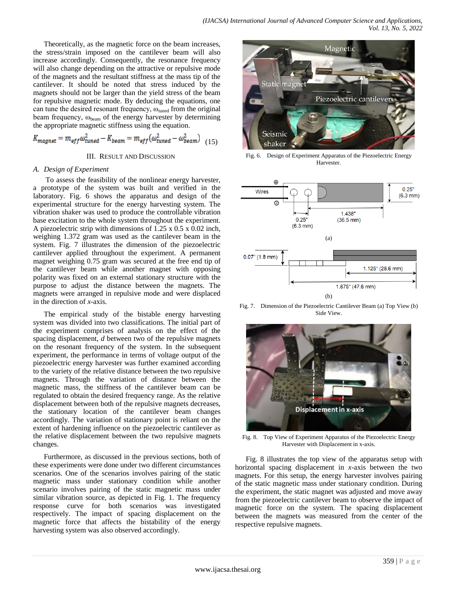Theoretically, as the magnetic force on the beam increases, the stress/strain imposed on the cantilever beam will also increase accordingly. Consequently, the resonance frequency will also change depending on the attractive or repulsive mode of the magnets and the resultant stiffness at the mass tip of the cantilever. It should be noted that stress induced by the magnets should not be larger than the yield stress of the beam for repulsive magnetic mode. By deducing the equations, one can tune the desired resonant frequency,  $\omega_{\text{tuned}}$  from the original beam frequency,  $\omega_{\text{beam}}$  of the energy harvester by determining the appropriate magnetic stiffness using the equation.

$$
K_{magnet} = m_{eff} \omega_{tuned}^2 - K_{beam} = m_{eff} (\omega_{tuned}^2 - \omega_{beam}^2) \quad (15)
$$

#### III. RESULT AND DISCUSSION

#### *A. Design of Experiment*

To assess the feasibility of the nonlinear energy harvester, a prototype of the system was built and verified in the laboratory. Fig. 6 shows the apparatus and design of the experimental structure for the energy harvesting system. The vibration shaker was used to produce the controllable vibration base excitation to the whole system throughout the experiment. A piezoelectric strip with dimensions of  $1.25 \times 0.5 \times 0.02$  inch, weighing 1.372 gram was used as the cantilever beam in the system. Fig. 7 illustrates the dimension of the piezoelectric cantilever applied throughout the experiment. A permanent magnet weighing 0.75 gram was secured at the free end tip of the cantilever beam while another magnet with opposing polarity was fixed on an external stationary structure with the purpose to adjust the distance between the magnets. The magnets were arranged in repulsive mode and were displaced in the direction of *x*-axis.

The empirical study of the bistable energy harvesting system was divided into two classifications. The initial part of the experiment comprises of analysis on the effect of the spacing displacement, *d* between two of the repulsive magnets on the resonant frequency of the system. In the subsequent experiment, the performance in terms of voltage output of the piezoelectric energy harvester was further examined according to the variety of the relative distance between the two repulsive magnets. Through the variation of distance between the magnetic mass, the stiffness of the cantilever beam can be regulated to obtain the desired frequency range. As the relative displacement between both of the repulsive magnets decreases, the stationary location of the cantilever beam changes accordingly. The variation of stationary point is reliant on the extent of hardening influence on the piezoelectric cantilever as the relative displacement between the two repulsive magnets changes.

Furthermore, as discussed in the previous sections, both of these experiments were done under two different circumstances scenarios. One of the scenarios involves pairing of the static magnetic mass under stationary condition while another scenario involves pairing of the static magnetic mass under similar vibration source, as depicted in Fig. 1. The frequency response curve for both scenarios was investigated respectively. The impact of spacing displacement on the magnetic force that affects the bistability of the energy harvesting system was also observed accordingly.



Fig. 6. Design of Experiment Apparatus of the Piezoelectric Energy Harvester.



Fig. 7. Dimension of the Piezoelectric Cantilever Beam (a) Top View (b) Side View.



Fig. 8. Top View of Experiment Apparatus of the Piezoelectric Energy Harvester with Displacement in x-axis.

Fig. 8 illustrates the top view of the apparatus setup with horizontal spacing displacement in *x*-axis between the two magnets. For this setup, the energy harvester involves pairing of the static magnetic mass under stationary condition. During the experiment, the static magnet was adjusted and move away from the piezoelectric cantilever beam to observe the impact of magnetic force on the system. The spacing displacement between the magnets was measured from the center of the respective repulsive magnets.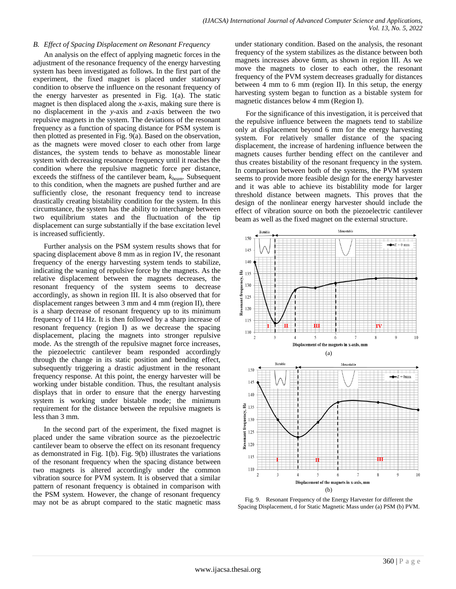#### *B. Effect of Spacing Displacement on Resonant Frequency*

An analysis on the effect of applying magnetic forces in the adjustment of the resonance frequency of the energy harvesting system has been investigated as follows. In the first part of the experiment, the fixed magnet is placed under stationary condition to observe the influence on the resonant frequency of the energy harvester as presented in Fig. 1(a). The static magnet is then displaced along the *x*-axis, making sure there is no displacement in the *y*-axis and *z*-axis between the two repulsive magnets in the system. The deviations of the resonant frequency as a function of spacing distance for PSM system is then plotted as presented in Fig. 9(a). Based on the observation, as the magnets were moved closer to each other from large distances, the system tends to behave as monostable linear system with decreasing resonance frequency until it reaches the condition where the repulsive magnetic force per distance, exceeds the stiffness of the cantilever beam, *kbeam*. Subsequent to this condition, when the magnets are pushed further and are sufficiently close, the resonant frequency tend to increase drastically creating bistability condition for the system. In this circumstance, the system has the ability to interchange between two equilibrium states and the fluctuation of the tip displacement can surge substantially if the base excitation level is increased sufficiently.

Further analysis on the PSM system results shows that for spacing displacement above 8 mm as in region IV, the resonant frequency of the energy harvesting system tends to stabilize, indicating the waning of repulsive force by the magnets. As the relative displacement between the magnets decreases, the resonant frequency of the system seems to decrease accordingly, as shown in region III. It is also observed that for displacement ranges between 3 mm and 4 mm (region II), there is a sharp decrease of resonant frequency up to its minimum frequency of 114 Hz. It is then followed by a sharp increase of resonant frequency (region I) as we decrease the spacing displacement, placing the magnets into stronger repulsive mode. As the strength of the repulsive magnet force increases, the piezoelectric cantilever beam responded accordingly through the change in its static position and bending effect, subsequently triggering a drastic adjustment in the resonant frequency response. At this point, the energy harvester will be working under bistable condition. Thus, the resultant analysis displays that in order to ensure that the energy harvesting system is working under bistable mode; the minimum requirement for the distance between the repulsive magnets is less than 3 mm.

In the second part of the experiment, the fixed magnet is placed under the same vibration source as the piezoelectric cantilever beam to observe the effect on its resonant frequency as demonstrated in Fig. 1(b). Fig. 9(b) illustrates the variations of the resonant frequency when the spacing distance between two magnets is altered accordingly under the common vibration source for PVM system. It is observed that a similar pattern of resonant frequency is obtained in comparison with the PSM system. However, the change of resonant frequency may not be as abrupt compared to the static magnetic mass under stationary condition. Based on the analysis, the resonant frequency of the system stabilizes as the distance between both magnets increases above 6mm, as shown in region III. As we move the magnets to closer to each other, the resonant frequency of the PVM system decreases gradually for distances between 4 mm to 6 mm (region II). In this setup, the energy harvesting system began to function as a bistable system for magnetic distances below 4 mm (Region I).

For the significance of this investigation, it is perceived that the repulsive influence between the magnets tend to stabilize only at displacement beyond 6 mm for the energy harvesting system. For relatively smaller distance of the spacing displacement, the increase of hardening influence between the magnets causes further bending effect on the cantilever and thus creates bistability of the resonant frequency in the system. In comparison between both of the systems, the PVM system seems to provide more feasible design for the energy harvester and it was able to achieve its bistablility mode for larger threshold distance between magnets. This proves that the design of the nonlinear energy harvester should include the effect of vibration source on both the piezoelectric cantilever beam as well as the fixed magnet on the external structure.



Fig. 9. Resonant Frequency of the Energy Harvester for different the Spacing Displacement, d for Static Magnetic Mass under (a) PSM (b) PVM.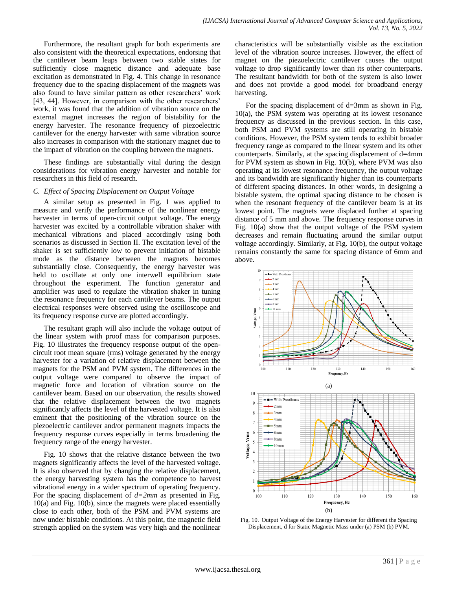Furthermore, the resultant graph for both experiments are also consistent with the theoretical expectations, endorsing that the cantilever beam leaps between two stable states for sufficiently close magnetic distance and adequate base excitation as demonstrated in Fig. 4. This change in resonance frequency due to the spacing displacement of the magnets was also found to have similar pattern as other researchers' work [43, 44]. However, in comparison with the other researchers' work, it was found that the addition of vibration source on the external magnet increases the region of bistability for the energy harvester. The resonance frequency of piezoelectric cantilever for the energy harvester with same vibration source also increases in comparison with the stationary magnet due to the impact of vibration on the coupling between the magnets.

These findings are substantially vital during the design considerations for vibration energy harvester and notable for researchers in this field of research.

#### *C. Effect of Spacing Displacement on Output Voltage*

A similar setup as presented in Fig. 1 was applied to measure and verify the performance of the nonlinear energy harvester in terms of open-circuit output voltage. The energy harvester was excited by a controllable vibration shaker with mechanical vibrations and placed accordingly using both scenarios as discussed in Section II. The excitation level of the shaker is set sufficiently low to prevent initiation of bistable mode as the distance between the magnets becomes substantially close. Consequently, the energy harvester was held to oscillate at only one interwell equilibrium state throughout the experiment. The function generator and amplifier was used to regulate the vibration shaker in tuning the resonance frequency for each cantilever beams. The output electrical responses were observed using the oscilloscope and its frequency response curve are plotted accordingly.

The resultant graph will also include the voltage output of the linear system with proof mass for comparison purposes. Fig. 10 illustrates the frequency response output of the opencircuit root mean square (rms) voltage generated by the energy harvester for a variation of relative displacement between the magnets for the PSM and PVM system. The differences in the output voltage were compared to observe the impact of magnetic force and location of vibration source on the cantilever beam. Based on our observation, the results showed that the relative displacement between the two magnets significantly affects the level of the harvested voltage. It is also eminent that the positioning of the vibration source on the piezoelectric cantilever and/or permanent magnets impacts the frequency response curves especially in terms broadening the frequency range of the energy harvester.

Fig. 10 shows that the relative distance between the two magnets significantly affects the level of the harvested voltage. It is also observed that by changing the relative displacement, the energy harvesting system has the competence to harvest vibrational energy in a wider spectrum of operating frequency. For the spacing displacement of *d=2mm* as presented in Fig. 10(a) and Fig. 10(b), since the magnets were placed essentially close to each other, both of the PSM and PVM systems are now under bistable conditions. At this point, the magnetic field strength applied on the system was very high and the nonlinear characteristics will be substantially visible as the excitation level of the vibration source increases. However, the effect of magnet on the piezoelectric cantilever causes the output voltage to drop significantly lower than its other counterparts. The resultant bandwidth for both of the system is also lower and does not provide a good model for broadband energy harvesting.

For the spacing displacement of d=3mm as shown in Fig. 10(a), the PSM system was operating at its lowest resonance frequency as discussed in the previous section. In this case, both PSM and PVM systems are still operating in bistable conditions. However, the PSM system tends to exhibit broader frequency range as compared to the linear system and its other counterparts. Similarly, at the spacing displacement of d=4mm for PVM system as shown in Fig. 10(b), where PVM was also operating at its lowest resonance frequency, the output voltage and its bandwidth are significantly higher than its counterparts of different spacing distances. In other words, in designing a bistable system, the optimal spacing distance to be chosen is when the resonant frequency of the cantilever beam is at its lowest point. The magnets were displaced further at spacing distance of 5 mm and above. The frequency response curves in Fig. 10(a) show that the output voltage of the PSM system decreases and remain fluctuating around the similar output voltage accordingly. Similarly, at Fig. 10(b), the output voltage remains constantly the same for spacing distance of 6mm and above.





Fig. 10. Output Voltage of the Energy Harvester for different the Spacing Displacement, d for Static Magnetic Mass under (a) PSM (b) PVM.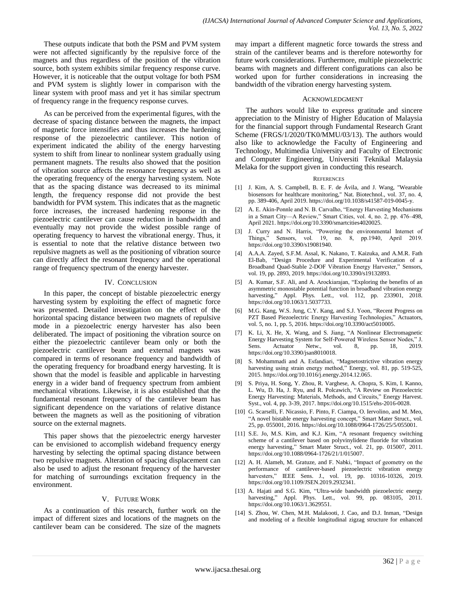These outputs indicate that both the PSM and PVM system were not affected significantly by the repulsive force of the magnets and thus regardless of the position of the vibration source, both system exhibits similar frequency response curve. However, it is noticeable that the output voltage for both PSM and PVM system is slightly lower in comparison with the linear system with proof mass and yet it has similar spectrum of frequency range in the frequency response curves.

As can be perceived from the experimental figures, with the decrease of spacing distance between the magnets, the impact of magnetic force intensifies and thus increases the hardening response of the piezoelectric cantilever. This notion of experiment indicated the ability of the energy harvesting system to shift from linear to nonlinear system gradually using permanent magnets. The results also showed that the position of vibration source affects the resonance frequency as well as the operating frequency of the energy harvesting system. Note that as the spacing distance was decreased to its minimal length, the frequency response did not provide the best bandwidth for PVM system. This indicates that as the magnetic force increases, the increased hardening response in the piezoelectric cantilever can cause reduction in bandwidth and eventually may not provide the widest possible range of operating frequency to harvest the vibrational energy. Thus, it is essential to note that the relative distance between two repulsive magnets as well as the positioning of vibration source can directly affect the resonant frequency and the operational range of frequency spectrum of the energy harvester.

## IV. CONCLUSION

In this paper, the concept of bistable piezoelectric energy harvesting system by exploiting the effect of magnetic force was presented. Detailed investigation on the effect of the horizontal spacing distance between two magnets of repulsive mode in a piezoelectric energy harvester has also been deliberated. The impact of positioning the vibration source on either the piezoelectric cantilever beam only or both the piezoelectric cantilever beam and external magnets was compared in terms of resonance frequency and bandwidth of the operating frequency for broadband energy harvesting. It is shown that the model is feasible and applicable in harvesting energy in a wider band of frequency spectrum from ambient mechanical vibrations. Likewise, it is also established that the fundamental resonant frequency of the cantilever beam has significant dependence on the variations of relative distance between the magnets as well as the positioning of vibration source on the external magnets.

This paper shows that the piezoelectric energy harvester can be envisioned to accomplish wideband frequency energy harvesting by selecting the optimal spacing distance between two repulsive magnets. Alteration of spacing displacement can also be used to adjust the resonant frequency of the harvester for matching of surroundings excitation frequency in the environment.

# V. FUTURE WORK

As a continuation of this research, further work on the impact of different sizes and locations of the magnets on the cantilever beam can be considered. The size of the magnets may impart a different magnetic force towards the stress and strain of the cantilever beams and is therefore noteworthy for future work considerations. Furthermore, multiple piezoelectric beams with magnets and different configurations can also be worked upon for further considerations in increasing the bandwidth of the vibration energy harvesting system.

#### ACKNOWLEDGMENT

The authors would like to express gratitude and sincere appreciation to the Ministry of Higher Education of Malaysia for the financial support through Fundamental Research Grant Scheme (FRGS/1/2020/TK0/MMU/03/13). The authors would also like to acknowledge the Faculty of Engineering and Technology, Multimedia University and Faculty of Electronic and Computer Engineering, Universiti Teknikal Malaysia Melaka for the support given in conducting this research.

#### **REFERENCES**

- [1] J. Kim, A. S. Campbell, B. E. F. de Ávila, and J. Wang, "Wearable biosensors for healthcare monitoring," Nat. Biotechnol., vol. 37, no. 4, pp. 389-406, April 2019. [https://doi.org/10.1038/s41587-019-0045-y.](https://doi.org/10.1038/s41587-019-0045-y)
- [2] A. E. Akin-Ponnle and N. B. Carvalho, "Energy Harvesting Mechanisms in a Smart City-A Review," Smart Cities, vol. 4, no. 2, pp. 476-498, April 2021. [https://doi.org/10.3390/smartcities4020025.](https://doi.org/10.3390/smartcities4020025)
- [3] J. Curry and N. Harris, "Powering the environmental Internet of Things,‖ Sensors, vol. 19, no. 8, pp.1940, April 2019. [https://doi.org/10.3390/s19081940.](https://doi.org/10.3390/s19081940)
- [4] A.A.A. Zayed, S.F.M. Assal, K. Nakano, T. Kaizuka, and A.M.R. Fath El-Bab, "Design Procedure and Experimental Verification of a Broadband Quad-Stable 2-DOF Vibration Energy Harvester," Sensors, vol. 19, pp. 2893, 2019. [https://doi.org/10.3390/s19132893.](https://doi.org/10.3390/s19132893)
- [5] A. Kumar, S.F. Ali, and A. Arockiarajan, "Exploring the benefits of an asymmetric monostable potential function in broadband vibration energy harvesting," Appl. Phys. Lett., vol. 112, pp. 233901, 2018. [https://doi.org/10.1063/1.5037733.](https://doi.org/10.1063/1.5037733)
- [6] M.G. Kang, W.S. Jung, C.Y. Kang, and S.J. Yoon, "Recent Progress on PZT Based Piezoelectric Energy Harvesting Technologies," Actuators, vol. 5, no. 1, pp. 5, 2016. [https://doi.org/10.3390/act5010005.](https://doi.org/10.3390/act5010005)
- [7] K. Li, X. He, X. Wang, and S. Jiang, "A Nonlinear Electromagnetic Energy Harvesting System for Self-Powered Wireless Sensor Nodes," J. Sens. Actuator Netw., vol. 8, pp. 18, 2019. [https://doi.org/10.3390/jsan8010018.](https://doi.org/10.3390/jsan8010018)
- [8] S. Mohammadi and A. Esfandiari, "Magnetostrictive vibration energy harvesting using strain energy method," Energy, vol. 81, pp. 519-525, 2015. [https://doi.org/10.1016/j.energy.2014.12.065.](https://doi.org/10.1016/j.energy.2014.12.065)
- [9] S. Priya, H. Song, Y. Zhou, R. Varghese, A. Chopra, S. Kim, I. Kanno, L. Wu, D. Ha, J. Ryu, and R. Polcawich, "A Review on Piezoelectric Energy Harvesting: Materials, Methods, and Circuits," Energy Harvest. Syst., vol. 4, pp. 3-39, 2017. [https://doi.org/10.1515/ehs-2016-0028.](https://doi.org/10.1515/ehs-2016-0028)
- [10] G. Scarselli, F. Nicassio, F. Pinto, F. Ciampa, O. Iervolino, and M. Meo, "A novel bistable energy harvesting concept," Smart Mater Struct., vol. 25, pp. 055001, 2016. [https://doi.org/10.1088/0964-1726/25/5/055001.](https://doi.org/10.1088/0964-1726/25/5/055001)
- [11] S.E. Jo, M.S. Kim, and K.J. Kim, "A resonant frequency switching scheme of a cantilever based on polyvinylidene fluoride for vibration energy harvesting," Smart Mater Struct., vol. 21, pp. 015007, 2011. [https://doi.org/10.1088/0964-1726/21/1/015007.](https://doi.org/10.1088/0964-1726/21/1/015007)
- [12] A. H. Alameh, M. Gratuze, and F. Nabki, "Impact of geometry on the performance of cantilever-based piezoelectric vibration energy harvesters," IEEE Sens. J., vol. 19, pp. 10316-10326, 2019. [https://doi.org/10.1109/JSEN.2019.2932341.](https://doi.org/10.1109/JSEN.2019.2932341)
- [13] A. Hajati and S.G. Kim, "Ultra-wide bandwidth piezoelectric energy harvesting," Appl. Phys. Lett., vol. 99, pp. 083105, 2011. [https://doi.org/10.1063/1.3629551.](https://doi.org/10.1063/1.3629551)
- [14] S. Zhou, W. Chen, M.H. Malakooti, J. Cao, and D.J. Inman, "Design and modeling of a flexible longitudinal zigzag structure for enhanced